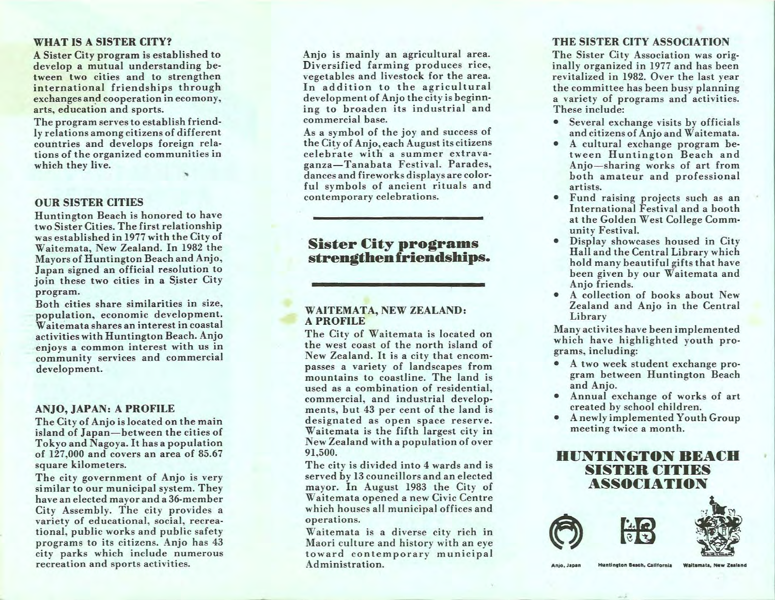#### WHAT IS A SISTER CITY?

A Sister City program is established to develop a mutual understanding between two cities and to strengthen international friendships through exchanges and cooperation in ecomony, arts, education and sports.

The program serves to establish friendly relations among citizens of different countries and develops foreign rela· tions of the organized communities in which they live.

### OUR SISTER CITIES

Huntington Beach is honored to have two Sister Cities. The first relationship was established in 1977 with the City of Waitemata, New Zealand. In 1982 the Mayors of Huntington Beach and Anjo, Japan signed an official resolution to join these two cities in a Sister City program.

Both cities share similarities in size, population, economic development. Waitemata shares an interest in coastal activities with Huntington Beach. Anjo enjoys a common interest with us in community services and commercial development.

#### ANJO, JAPAN: A PROFILE

The City of Anjo is located on the main island of Japan- between the cities of Tokyo and Nagoya. It has a population of 127,000 and covers an area of 85.67 square kilometers.

The city government of Anjo is very similar to our municipal system. They have an elected mayor and a 36-member City Assembly. The city provides a variety of educational, social, recreational, public works and public safety programs to its citizens. Anjo has 43 city parks which include numerous recreation and sports activities.

Anjo is mainly an agricultural area. Diversified farming produces rice, vegetables and livestock for the area. In addition to the agricultural development of Anjo the city is beginning to broaden its industrial and commercial base.

As a symbol of the joy and success of the City of Anjo, each August its citizens celebrate with a summer extravaganza-Tanabata Festival. Parades, dances and fireworks displays are color· ful symbols of ancient rituals and contemporary celebrations.

## **Sister City programs** strengthen friendships.

#### WAITEMATA, NEW ZEALAND: A PROFILE

The City of Waitemata is located on the west coast of the north island of New Zealand. It is a city that encompasses a variety of landscapes from mountains to coastline. The land is used as a combination of residential, commercial, and industrial developments, but 43 per cent of the land is designated as open space reserve. Waitemata is the fifth largest city in New Zealand with a population of over 91,500.

The city is divided into 4 wards and is served by 13 councillors and an elected mayor. In August 1983 the City of Waitemata opened a new Civic Centre which houses all municipal offices and operations.

Waitemata is a diverse city rich in Maori culture and history with an eye toward contemporary municipal Administration.

#### THE SISTER CITY ASSOCIATION

The Sister City Association was originally organized in 1977 and has been revitalized in 1982. Over the last year the committee has been busy planning a variety of programs and activities. These include:

- Several exchange visits by officials and citizens of Anjo and Waitemata.
- A cultural exchange program between Huntington Beach and Anjo-sharing works of art from both amateur and professional artists.
- Fund raising projects such as an International Festival and a booth at the Golden West College Community Festival.
- Display showcases housed in City Hall and the Central Library which hold many beautiful gifts that have been given by our Waitemata and Anjo friends.
- A collection of books about New Zealand and Anjo in the Central Library

Many activites have been implemented which have highlighted youth programs, including:

- A two week student exchange pro· gram between Huntington Beach and Anjo.
- Annual exchange of works of art created by school children.
- A newly implemented Youth Group meeting twice a month.

## HUNTINGTON BEACH SISTER CITIES ASSOCIATION





Anjo, Japan

Huntington Beach, California